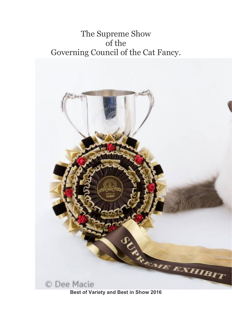## The Supreme Show of the Governing Council of the Cat Fancy.

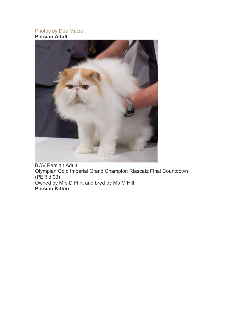## Photos by Dee Macie **Persian Adult**



BOV Persian Adult Olympian Gold Imperial Grand Champion Riascatz Final Countdown (PER d 03) Owned by Mrs D Flint and bred by Ms M Hill **Persian Kitten**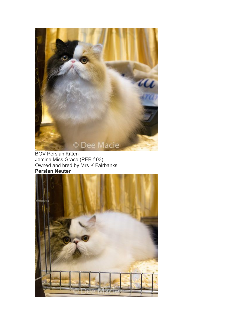

BOV Persian Kitten Jemine Miss Grace (PER f 03) Owned and bred by Mrs K Fairbanks **Persian Neuter**

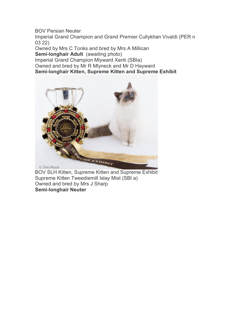BOV Persian Neuter

Imperial Grand Champion and Grand Premier Cullykhan Vivaldi (PER n 03 22)

Owned by Mrs C Tonks and bred by Mrs A Millican **Semi-longhair Adult** (awaiting photo) Imperial Grand Champion Mlyward Xanti (SBIa) Owned and bred by Mr R Mlyneck and Mr D Hayward **Semi-longhair Kitten, Supreme Kitten and Supreme Exhibit**



BOV SLH Kitten, Supreme Kitten and Supreme Exhibit Supreme Kitten Tweediemill Islay Mist (SBI a) Owned and bred by Mrs J Sharp **Semi-longhair Neuter**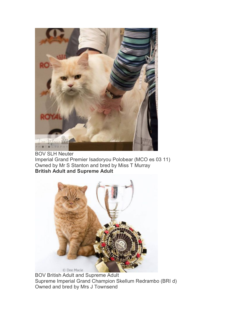

BOV SLH Neuter Imperial Grand Premier Isadoryou Polobear (MCO es 03 11) Owned by Mr S Stanton and bred by Miss T Murray **British Adult and Supreme Adult**



BOV British Adult and Supreme Adult Supreme Imperial Grand Champion Skellum Redrambo (BRI d) Owned and bred by Mrs J Townsend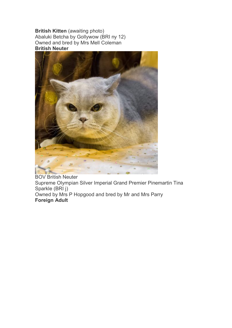**British Kitten** (awaiting photo) Abaluki Betcha by Gollywow (BRI ny 12) Owned and bred by Mrs Mell Coleman **British Neuter**



BOV British Neuter Supreme Olympian Silver Imperial Grand Premier Pinemartin Tina Sparkle (BRI j) Owned by Mrs P Hopgood and bred by Mr and Mrs Parry **Foreign Adult**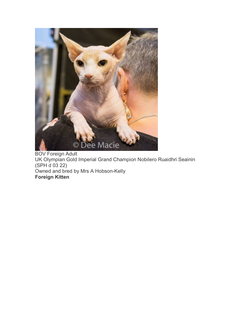

BOV Foreign Adult UK Olympian Gold Imperial Grand Champion Nobilero Ruaidhri Seainin (SPH d 03 22) Owned and bred by Mrs A Hobson-Kelly **Foreign Kitten**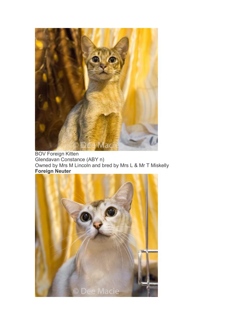

BOV Foreign Kitten Glendavan Constance (ABY n) Owned by Mrs M Lincoln and bred by Mrs L & Mr T Miskelly **Foreign Neuter**

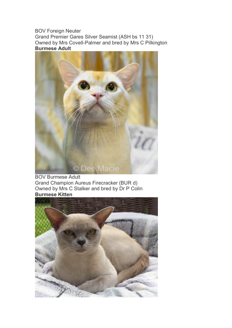BOV Foreign Neuter Grand Premier Gares Silver Seamist (ASH bs 11 31) Owned by Mrs Covell-Palmer and bred by Mrs C Pilkington **Burmese Adult**



BOV Burmese Adult Grand Champion Aureus Firecracker (BUR d) Owned by Mrs C Stalker and bred by Dr P Colin **Burmese Kitten**

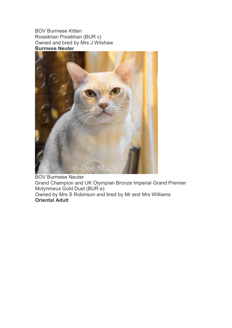BOV Burmese Kitten Rossikhan Pixiekhan (BUR c) Owned and bred by Mrs J Wilshaw **Burmese Neuter**



BOV Burmese Neuter Grand Champion and UK Olympian Bronze Imperial Grand Premier Molynmeux Gold Dust (BUR e) Owned by Mrs S Robinson and bred by Mr and Mrs Williams **Oriental Adult**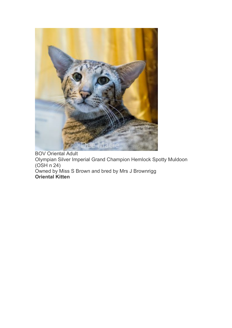

BOV Oriental Adult Olympian Silver Imperial Grand Champion Hemlock Spotty Muldoon (OSH n 24) Owned by Miss S Brown and bred by Mrs J Brownrigg **Oriental Kitten**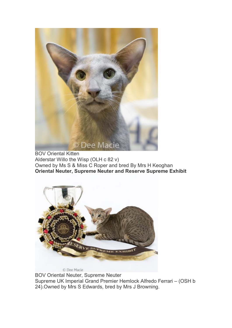

BOV Oriental Kitten Alderstar Willo the Wisp (OLH c 82 v) Owned by Ms S & Miss C Roper and bred By Mrs H Keoghan **Oriental Neuter, Supreme Neuter and Reserve Supreme Exhibit**



BOV Oriental Neuter, Supreme Neuter Supreme UK Imperial Grand Premier Hemlock Alfredo Ferrari – (OSH b 24).Owned by Mrs S Edwards, bred by Mrs J Browning.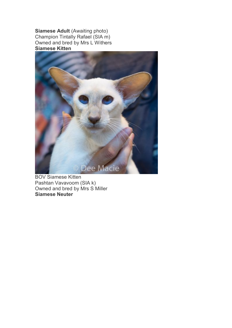**Siamese Adult** (Awaiting photo) Champion Tintally Rafael (SIA m) Owned and bred by Mrs L Withers **Siamese Kitten**



BOV Siamese Kitten Pashtan Vavavoom (SIA k) Owned and bred by Mrs S Miller **Siamese Neuter**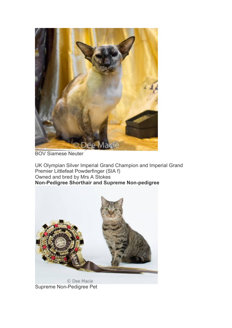

BOV Siamese Neuter

UK Olympian Silver Imperial Grand Champion and Imperial Grand Premier Littlefeat Powderfinger (SIA f) Owned and bred by Mrs A Stokes **Non-Pedigree Shorthair and Supreme Non-pedigree**



Supreme Non-Pedigree Pet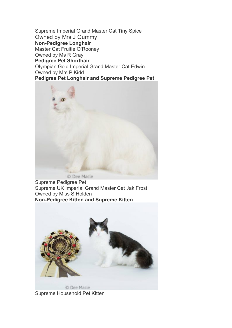Supreme Imperial Grand Master Cat Tiny Spice Owned by Mrs J Gummy **Non-Pedigree Longhair** Master Cat Fruitie O'Rooney Owned by Ms R Gray **Pedigree Pet Shorthair** Olympian Gold Imperial Grand Master Cat Edwin Owned by Mrs P Kidd **Pedigree Pet Longhair and Supreme Pedigree Pet**



Supreme Pedigree Pet Supreme UK Imperial Grand Master Cat Jak Frost Owned by Miss S Holden **Non-Pedigree Kitten and Supreme Kitten**



Supreme Household Pet Kitten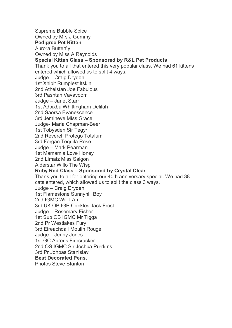Supreme Bubble Spice Owned by Mrs J Gummy **Pedigree Pet Kitten** Aurora Butterfly Owned by Miss A Reynolds **Special Kitten Class – Sponsored by R&L Pet Products** Thank you to all that entered this very popular class. We had 61 kittens entered which allowed us to split 4 ways. Judge – Craig Dryden 1st Xhibit Rumplestiltskin 2nd Athelstan Joe Fabulous 3rd Pashtan Vavavoom Judge – Janet Starr 1st Adpixbu Whittingham Delilah 2nd Saorsa Evanescence 3rd Jemineve Miss Grace Judge- Maria Chapman-Beer 1st Tobysden Sir Tegyr 2nd Reverelf Protego Totalum 3rd Fergan Tequila Rose Judge – Mark Pearman 1st Mamamia Love Honey 2nd Limatz Miss Saigon Alderstar Willo The Wisp **Ruby Red Class – Sponsored by Crystal Clear** Thank you to all for entering our 40th anniversary special. We had 38 cats entered, which allowed us to split the class 3 ways. Judge – Craig Dryden 1st Flamestone Sunnyhill Boy 2nd IGMC Will I Am 3rd UK OB IGP Crinkles Jack Frost Judge – Rosemary Fisher 1st Sup OB IGMC Mr Tigga 2nd Pr Westlakes Fury 3rd Eireachdail Moulin Rouge Judge – Jenny Jones 1st GC Aureus Firecracker 2nd OS IGMC Sir Joshua Purrkins 3rd Pr Johpas Stanislav **Best Decorated Pens.** Photos Steve Stanton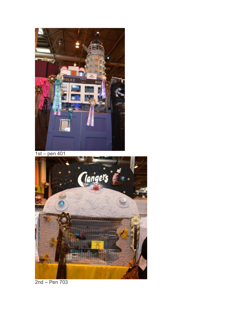

1st – pen 401



2nd – Pen 703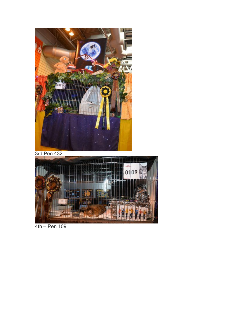

3rd Pen 432



4th – Pen 109